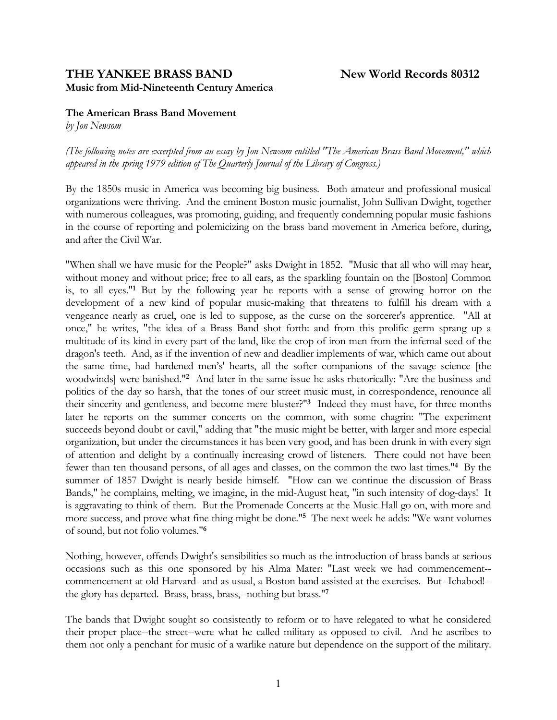# **THE YANKEE BRASS BAND New World Records 80312 Music from Mid-Nineteenth Century America**

### **The American Brass Band Movement**

*by Jon Newsom*

*(The following notes are excerpted from an essay by Jon Newsom entitled "The American Brass Band Movement," which appeared in the spring 1979 edition of The Quarterly Journal of the Library of Congress.)* 

By the 1850s music in America was becoming big business. Both amateur and professional musical organizations were thriving. And the eminent Boston music journalist, John Sullivan Dwight, together with numerous colleagues, was promoting, guiding, and frequently condemning popular music fashions in the course of reporting and polemicizing on the brass band movement in America before, during, and after the Civil War.

"When shall we have music for the People?" asks Dwight in 1852. "Music that all who will may hear, without money and without price; free to all ears, as the sparkling fountain on the [Boston] Common is, to all eyes."**<sup>1</sup>** But by the following year he reports with a sense of growing horror on the development of a new kind of popular music-making that threatens to fulfill his dream with a vengeance nearly as cruel, one is led to suppose, as the curse on the sorcerer's apprentice. "All at once," he writes, "the idea of a Brass Band shot forth: and from this prolific germ sprang up a multitude of its kind in every part of the land, like the crop of iron men from the infernal seed of the dragon's teeth. And, as if the invention of new and deadlier implements of war, which came out about the same time, had hardened men's' hearts, all the softer companions of the savage science [the woodwinds] were banished."**<sup>2</sup>** And later in the same issue he asks rhetorically: "Are the business and politics of the day so harsh, that the tones of our street music must, in correspondence, renounce all their sincerity and gentleness, and become mere bluster?"**<sup>3</sup>** Indeed they must have, for three months later he reports on the summer concerts on the common, with some chagrin: "The experiment succeeds beyond doubt or cavil," adding that "the music might be better, with larger and more especial organization, but under the circumstances it has been very good, and has been drunk in with every sign of attention and delight by a continually increasing crowd of listeners. There could not have been fewer than ten thousand persons, of all ages and classes, on the common the two last times."**<sup>4</sup>** By the summer of 1857 Dwight is nearly beside himself. "How can we continue the discussion of Brass Bands," he complains, melting, we imagine, in the mid-August heat, "in such intensity of dog-days! It is aggravating to think of them. But the Promenade Concerts at the Music Hall go on, with more and more success, and prove what fine thing might be done."**<sup>5</sup>** The next week he adds: "We want volumes of sound, but not folio volumes."**<sup>6</sup>**

Nothing, however, offends Dwight's sensibilities so much as the introduction of brass bands at serious occasions such as this one sponsored by his Alma Mater: "Last week we had commencement- commencement at old Harvard--and as usual, a Boston band assisted at the exercises. But--Ichabod!- the glory has departed. Brass, brass, brass,--nothing but brass."**<sup>7</sup>**

The bands that Dwight sought so consistently to reform or to have relegated to what he considered their proper place--the street--were what he called military as opposed to civil. And he ascribes to them not only a penchant for music of a warlike nature but dependence on the support of the military.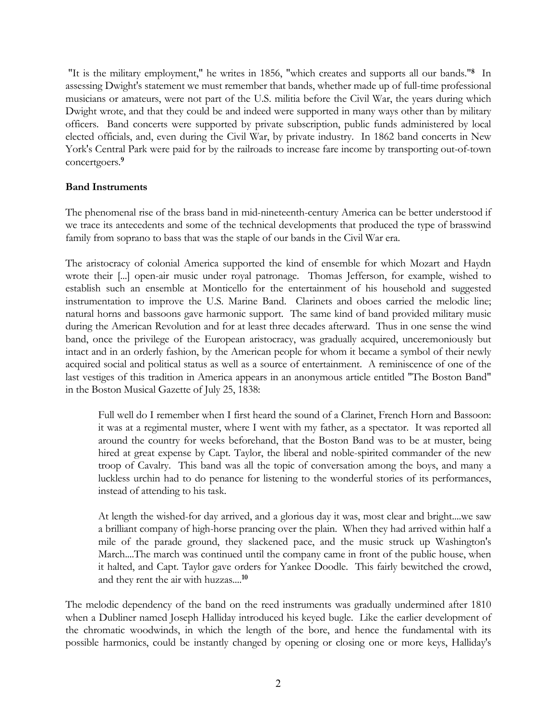"It is the military employment," he writes in 1856, "which creates and supports all our bands."**<sup>8</sup>** In assessing Dwight's statement we must remember that bands, whether made up of full-time professional musicians or amateurs, were not part of the U.S. militia before the Civil War, the years during which Dwight wrote, and that they could be and indeed were supported in many ways other than by military officers. Band concerts were supported by private subscription, public funds administered by local elected officials, and, even during the Civil War, by private industry. In 1862 band concerts in New York's Central Park were paid for by the railroads to increase fare income by transporting out-of-town concertgoers. **9**

### **Band Instruments**

The phenomenal rise of the brass band in mid-nineteenth-century America can be better understood if we trace its antecedents and some of the technical developments that produced the type of brasswind family from soprano to bass that was the staple of our bands in the Civil War era.

The aristocracy of colonial America supported the kind of ensemble for which Mozart and Haydn wrote their [...] open-air music under royal patronage. Thomas Jefferson, for example, wished to establish such an ensemble at Monticello for the entertainment of his household and suggested instrumentation to improve the U.S. Marine Band. Clarinets and oboes carried the melodic line; natural horns and bassoons gave harmonic support. The same kind of band provided military music during the American Revolution and for at least three decades afterward. Thus in one sense the wind band, once the privilege of the European aristocracy, was gradually acquired, unceremoniously but intact and in an orderly fashion, by the American people for whom it became a symbol of their newly acquired social and political status as well as a source of entertainment. A reminiscence of one of the last vestiges of this tradition in America appears in an anonymous article entitled "The Boston Band" in the Boston Musical Gazette of July 25, 1838:

Full well do I remember when I first heard the sound of a Clarinet, French Horn and Bassoon: it was at a regimental muster, where I went with my father, as a spectator. It was reported all around the country for weeks beforehand, that the Boston Band was to be at muster, being hired at great expense by Capt. Taylor, the liberal and noble-spirited commander of the new troop of Cavalry. This band was all the topic of conversation among the boys, and many a luckless urchin had to do penance for listening to the wonderful stories of its performances, instead of attending to his task.

At length the wished-for day arrived, and a glorious day it was, most clear and bright....we saw a brilliant company of high-horse prancing over the plain. When they had arrived within half a mile of the parade ground, they slackened pace, and the music struck up Washington's March....The march was continued until the company came in front of the public house, when it halted, and Capt. Taylor gave orders for Yankee Doodle. This fairly bewitched the crowd, and they rent the air with huzzas....**<sup>10</sup>**

The melodic dependency of the band on the reed instruments was gradually undermined after 1810 when a Dubliner named Joseph Halliday introduced his keyed bugle. Like the earlier development of the chromatic woodwinds, in which the length of the bore, and hence the fundamental with its possible harmonics, could be instantly changed by opening or closing one or more keys, Halliday's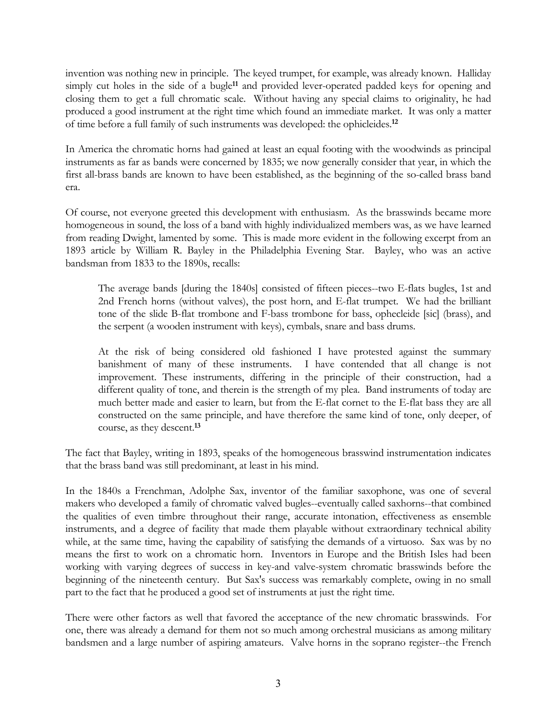invention was nothing new in principle. The keyed trumpet, for example, was already known. Halliday simply cut holes in the side of a bugle<sup>11</sup> and provided lever-operated padded keys for opening and closing them to get a full chromatic scale. Without having any special claims to originality, he had produced a good instrument at the right time which found an immediate market. It was only a matter of time before a full family of such instruments was developed: the ophicleides.**<sup>12</sup>**

In America the chromatic horns had gained at least an equal footing with the woodwinds as principal instruments as far as bands were concerned by 1835; we now generally consider that year, in which the first all-brass bands are known to have been established, as the beginning of the so-called brass band era.

Of course, not everyone greeted this development with enthusiasm. As the brasswinds became more homogeneous in sound, the loss of a band with highly individualized members was, as we have learned from reading Dwight, lamented by some. This is made more evident in the following excerpt from an 1893 article by William R. Bayley in the Philadelphia Evening Star. Bayley, who was an active bandsman from 1833 to the 1890s, recalls:

The average bands [during the 1840s] consisted of fifteen pieces--two E-flats bugles, 1st and 2nd French horns (without valves), the post horn, and E-flat trumpet. We had the brilliant tone of the slide B-flat trombone and F-bass trombone for bass, ophecleide [sic] (brass), and the serpent (a wooden instrument with keys), cymbals, snare and bass drums.

At the risk of being considered old fashioned I have protested against the summary banishment of many of these instruments. I have contended that all change is not improvement. These instruments, differing in the principle of their construction, had a different quality of tone, and therein is the strength of my plea. Band instruments of today are much better made and easier to learn, but from the E-flat cornet to the E-flat bass they are all constructed on the same principle, and have therefore the same kind of tone, only deeper, of course, as they descent.**<sup>13</sup>**

The fact that Bayley, writing in 1893, speaks of the homogeneous brasswind instrumentation indicates that the brass band was still predominant, at least in his mind.

In the 1840s a Frenchman, Adolphe Sax, inventor of the familiar saxophone, was one of several makers who developed a family of chromatic valved bugles--eventually called saxhorns--that combined the qualities of even timbre throughout their range, accurate intonation, effectiveness as ensemble instruments, and a degree of facility that made them playable without extraordinary technical ability while, at the same time, having the capability of satisfying the demands of a virtuoso. Sax was by no means the first to work on a chromatic horn. Inventors in Europe and the British Isles had been working with varying degrees of success in key-and valve-system chromatic brasswinds before the beginning of the nineteenth century. But Sax's success was remarkably complete, owing in no small part to the fact that he produced a good set of instruments at just the right time.

There were other factors as well that favored the acceptance of the new chromatic brasswinds. For one, there was already a demand for them not so much among orchestral musicians as among military bandsmen and a large number of aspiring amateurs. Valve horns in the soprano register--the French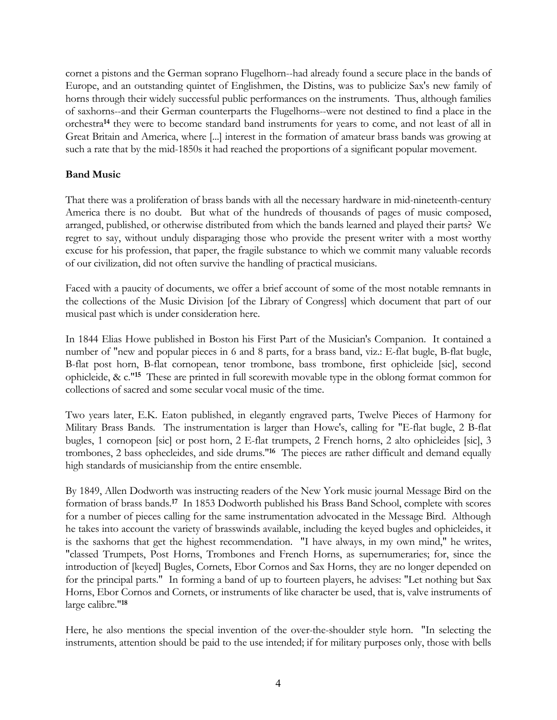cornet a pistons and the German soprano Flugelhorn--had already found a secure place in the bands of Europe, and an outstanding quintet of Englishmen, the Distins, was to publicize Sax's new family of horns through their widely successful public performances on the instruments. Thus, although families of saxhorns--and their German counterparts the Flugelhorns--were not destined to find a place in the orchestra**<sup>14</sup>** they were to become standard band instruments for years to come, and not least of all in Great Britain and America, where [...] interest in the formation of amateur brass bands was growing at such a rate that by the mid-1850s it had reached the proportions of a significant popular movement.

## **Band Music**

That there was a proliferation of brass bands with all the necessary hardware in mid-nineteenth-century America there is no doubt. But what of the hundreds of thousands of pages of music composed, arranged, published, or otherwise distributed from which the bands learned and played their parts? We regret to say, without unduly disparaging those who provide the present writer with a most worthy excuse for his profession, that paper, the fragile substance to which we commit many valuable records of our civilization, did not often survive the handling of practical musicians.

Faced with a paucity of documents, we offer a brief account of some of the most notable remnants in the collections of the Music Division [of the Library of Congress] which document that part of our musical past which is under consideration here.

In 1844 Elias Howe published in Boston his First Part of the Musician's Companion. It contained a number of "new and popular pieces in 6 and 8 parts, for a brass band, viz.: E-flat bugle, B-flat bugle, B-flat post horn, B-flat cornopean, tenor trombone, bass trombone, first ophicleide [sic], second ophicleide, & c."**<sup>15</sup>** These are printed in full scorewith movable type in the oblong format common for collections of sacred and some secular vocal music of the time.

Two years later, E.K. Eaton published, in elegantly engraved parts, Twelve Pieces of Harmony for Military Brass Bands. The instrumentation is larger than Howe's, calling for "E-flat bugle, 2 B-flat bugles, 1 cornopeon [sic] or post horn, 2 E-flat trumpets, 2 French horns, 2 alto ophicleides [sic], 3 trombones, 2 bass ophecleides, and side drums."**<sup>16</sup>** The pieces are rather difficult and demand equally high standards of musicianship from the entire ensemble.

By 1849, Allen Dodworth was instructing readers of the New York music journal Message Bird on the formation of brass bands.**<sup>17</sup>** In 1853 Dodworth published his Brass Band School, complete with scores for a number of pieces calling for the same instrumentation advocated in the Message Bird. Although he takes into account the variety of brasswinds available, including the keyed bugles and ophicleides, it is the saxhorns that get the highest recommendation. "I have always, in my own mind," he writes, "classed Trumpets, Post Horns, Trombones and French Horns, as supernumeraries; for, since the introduction of [keyed] Bugles, Cornets, Ebor Cornos and Sax Horns, they are no longer depended on for the principal parts." In forming a band of up to fourteen players, he advises: "Let nothing but Sax Horns, Ebor Cornos and Cornets, or instruments of like character be used, that is, valve instruments of large calibre."**<sup>18</sup>**

Here, he also mentions the special invention of the over-the-shoulder style horn. "In selecting the instruments, attention should be paid to the use intended; if for military purposes only, those with bells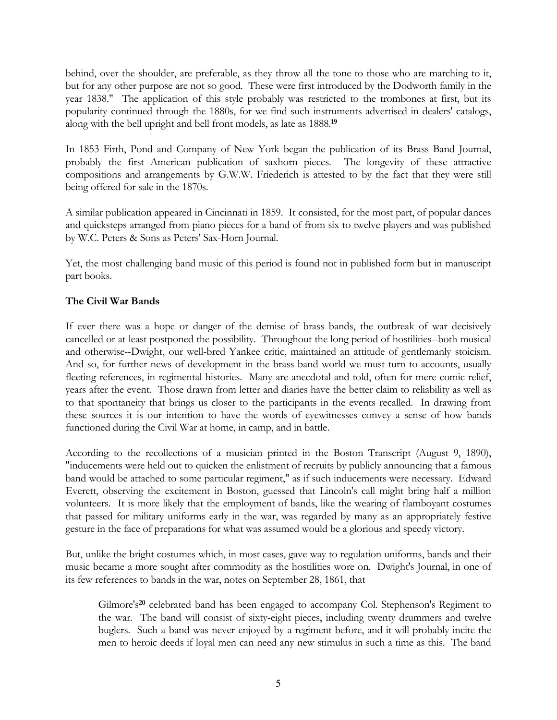behind, over the shoulder, are preferable, as they throw all the tone to those who are marching to it, but for any other purpose are not so good. These were first introduced by the Dodworth family in the year 1838." The application of this style probably was restricted to the trombones at first, but its popularity continued through the 1880s, for we find such instruments advertised in dealers' catalogs, along with the bell upright and bell front models, as late as 1888.**<sup>19</sup>**

In 1853 Firth, Pond and Company of New York began the publication of its Brass Band Journal, probably the first American publication of saxhorn pieces. The longevity of these attractive compositions and arrangements by G.W.W. Friederich is attested to by the fact that they were still being offered for sale in the 1870s.

A similar publication appeared in Cincinnati in 1859. It consisted, for the most part, of popular dances and quicksteps arranged from piano pieces for a band of from six to twelve players and was published by W.C. Peters & Sons as Peters' Sax-Horn Journal.

Yet, the most challenging band music of this period is found not in published form but in manuscript part books.

## **The Civil War Bands**

If ever there was a hope or danger of the demise of brass bands, the outbreak of war decisively cancelled or at least postponed the possibility. Throughout the long period of hostilities--both musical and otherwise--Dwight, our well-bred Yankee critic, maintained an attitude of gentlemanly stoicism. And so, for further news of development in the brass band world we must turn to accounts, usually fleeting references, in regimental histories. Many are anecdotal and told, often for mere comic relief, years after the event. Those drawn from letter and diaries have the better claim to reliability as well as to that spontaneity that brings us closer to the participants in the events recalled. In drawing from these sources it is our intention to have the words of eyewitnesses convey a sense of how bands functioned during the Civil War at home, in camp, and in battle.

According to the recollections of a musician printed in the Boston Transcript (August 9, 1890), "inducements were held out to quicken the enlistment of recruits by publicly announcing that a famous band would be attached to some particular regiment," as if such inducements were necessary. Edward Everett, observing the excitement in Boston, guessed that Lincoln's call might bring half a million volunteers. It is more likely that the employment of bands, like the wearing of flamboyant costumes that passed for military uniforms early in the war, was regarded by many as an appropriately festive gesture in the face of preparations for what was assumed would be a glorious and speedy victory.

But, unlike the bright costumes which, in most cases, gave way to regulation uniforms, bands and their music became a more sought after commodity as the hostilities wore on. Dwight's Journal, in one of its few references to bands in the war, notes on September 28, 1861, that

Gilmore's**<sup>20</sup>** celebrated band has been engaged to accompany Col. Stephenson's Regiment to the war. The band will consist of sixty-eight pieces, including twenty drummers and twelve buglers. Such a band was never enjoyed by a regiment before, and it will probably incite the men to heroic deeds if loyal men can need any new stimulus in such a time as this. The band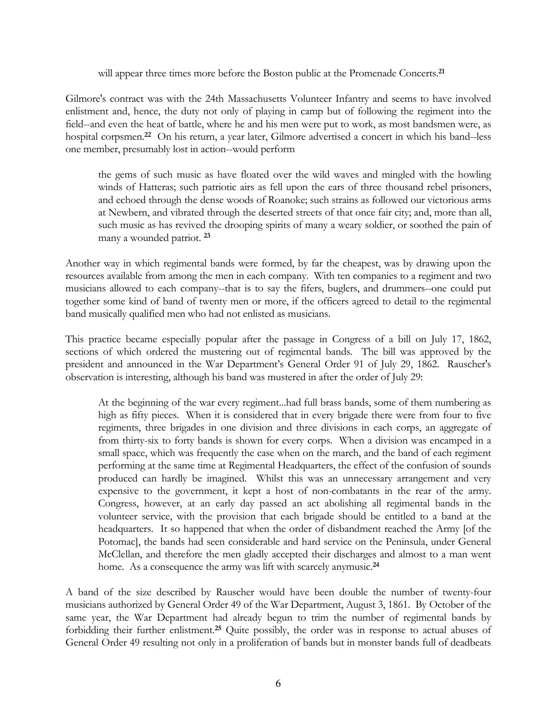will appear three times more before the Boston public at the Promenade Concerts. **21**

Gilmore's contract was with the 24th Massachusetts Volunteer Infantry and seems to have involved enlistment and, hence, the duty not only of playing in camp but of following the regiment into the field--and even the heat of battle, where he and his men were put to work, as most bandsmen were, as hospital corpsmen.**<sup>22</sup>** On his return, a year later, Gilmore advertised a concert in which his band--less one member, presumably lost in action--would perform

the gems of such music as have floated over the wild waves and mingled with the howling winds of Hatteras; such patriotic airs as fell upon the ears of three thousand rebel prisoners, and echoed through the dense woods of Roanoke; such strains as followed our victorious arms at Newbern, and vibrated through the deserted streets of that once fair city; and, more than all, such music as has revived the drooping spirits of many a weary soldier, or soothed the pain of many a wounded patriot. **<sup>23</sup>**

Another way in which regimental bands were formed, by far the cheapest, was by drawing upon the resources available from among the men in each company. With ten companies to a regiment and two musicians allowed to each company--that is to say the fifers, buglers, and drummers--one could put together some kind of band of twenty men or more, if the officers agreed to detail to the regimental band musically qualified men who had not enlisted as musicians.

This practice became especially popular after the passage in Congress of a bill on July 17, 1862, sections of which ordered the mustering out of regimental bands. The bill was approved by the president and announced in the War Department's General Order 91 of July 29, 1862. Rauscher's observation is interesting, although his band was mustered in after the order of July 29:

At the beginning of the war every regiment...had full brass bands, some of them numbering as high as fifty pieces. When it is considered that in every brigade there were from four to five regiments, three brigades in one division and three divisions in each corps, an aggregate of from thirty-six to forty bands is shown for every corps. When a division was encamped in a small space, which was frequently the case when on the march, and the band of each regiment performing at the same time at Regimental Headquarters, the effect of the confusion of sounds produced can hardly be imagined. Whilst this was an unnecessary arrangement and very expensive to the government, it kept a host of non-combatants in the rear of the army. Congress, however, at an early day passed an act abolishing all regimental bands in the volunteer service, with the provision that each brigade should be entitled to a band at the headquarters. It so happened that when the order of disbandment reached the Army [of the Potomac], the bands had seen considerable and hard service on the Peninsula, under General McClellan, and therefore the men gladly accepted their discharges and almost to a man went home. As a consequence the army was lift with scarcely anymusic.**<sup>24</sup>**

A band of the size described by Rauscher would have been double the number of twenty-four musicians authorized by General Order 49 of the War Department, August 3, 1861. By October of the same year, the War Department had already begun to trim the number of regimental bands by forbidding their further enlistment.**<sup>25</sup>** Quite possibly, the order was in response to actual abuses of General Order 49 resulting not only in a proliferation of bands but in monster bands full of deadbeats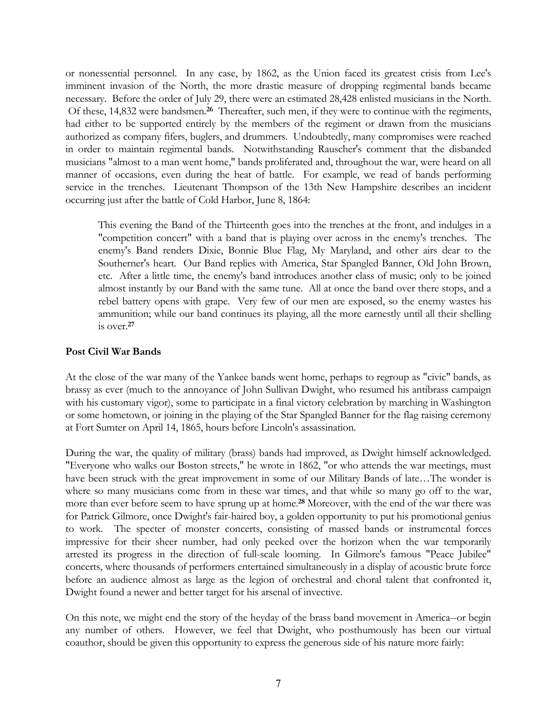or nonessential personnel. In any case, by 1862, as the Union faced its greatest crisis from Lee's imminent invasion of the North, the more drastic measure of dropping regimental bands became necessary. Before the order of July 29, there were an estimated 28,428 enlisted musicians in the North. Of these, 14,832 were bandsmen.**<sup>26</sup>** Thereafter, such men, if they were to continue with the regiments, had either to be supported entirely by the members of the regiment or drawn from the musicians authorized as company fifers, buglers, and drummers. Undoubtedly, many compromises were reached in order to maintain regimental bands. Notwithstanding Rauscher's comment that the disbanded musicians "almost to a man went home," bands proliferated and, throughout the war, were heard on all manner of occasions, even during the heat of battle. For example, we read of bands performing service in the trenches. Lieutenant Thompson of the 13th New Hampshire describes an incident occurring just after the battle of Cold Harbor, June 8, 1864:

This evening the Band of the Thirteenth goes into the trenches at the front, and indulges in a "competition concert" with a band that is playing over across in the enemy's trenches. The enemy's Band renders Dixie, Bonnie Blue Flag, My Maryland, and other airs dear to the Southerner's heart. Our Band replies with America, Star Spangled Banner, Old John Brown, etc. After a little time, the enemy's band introduces another class of music; only to be joined almost instantly by our Band with the same tune. All at once the band over there stops, and a rebel battery opens with grape. Very few of our men are exposed, so the enemy wastes his ammunition; while our band continues its playing, all the more earnestly until all their shelling is over.**<sup>27</sup>**

### **Post Civil War Bands**

At the close of the war many of the Yankee bands went home, perhaps to regroup as "civic" bands, as brassy as ever (much to the annoyance of John Sullivan Dwight, who resumed his antibrass campaign with his customary vigor), some to participate in a final victory celebration by marching in Washington or some hometown, or joining in the playing of the Star Spangled Banner for the flag raising ceremony at Fort Sumter on April 14, 1865, hours before Lincoln's assassination.

During the war, the quality of military (brass) bands had improved, as Dwight himself acknowledged. "Everyone who walks our Boston streets," he wrote in 1862, "or who attends the war meetings, must have been struck with the great improvement in some of our Military Bands of late…The wonder is where so many musicians come from in these war times, and that while so many go off to the war, more than ever before seem to have sprung up at home. **<sup>28</sup>** Moreover, with the end of the war there was for Patrick Gilmore, once Dwight's fair-haired boy, a golden opportunity to put his promotional genius to work. The specter of monster concerts, consisting of massed bands or instrumental forces impressive for their sheer number, had only peeked over the horizon when the war temporarily arrested its progress in the direction of full-scale looming. In Gilmore's famous "Peace Jubilee" concerts, where thousands of performers entertained simultaneously in a display of acoustic brute force before an audience almost as large as the legion of orchestral and choral talent that confronted it, Dwight found a newer and better target for his arsenal of invective.

On this note, we might end the story of the heyday of the brass band movement in America--or begin any number of others. However, we feel that Dwight, who posthumously has been our virtual coauthor, should be given this opportunity to express the generous side of his nature more fairly: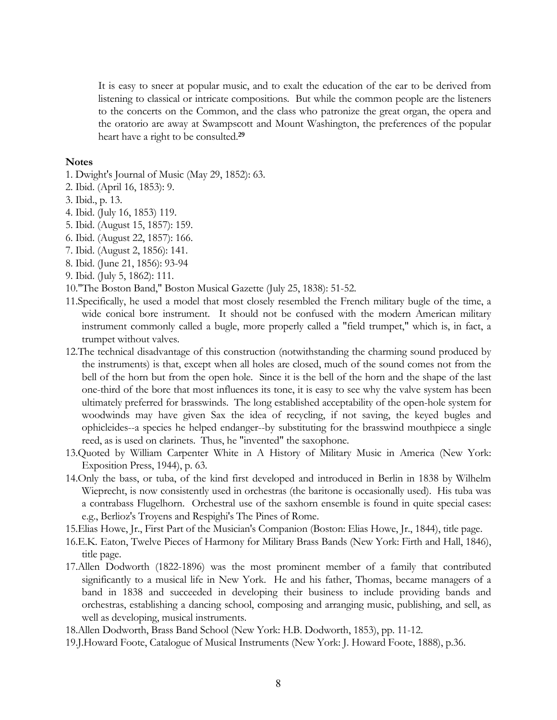It is easy to sneer at popular music, and to exalt the education of the ear to be derived from listening to classical or intricate compositions. But while the common people are the listeners to the concerts on the Common, and the class who patronize the great organ, the opera and the oratorio are away at Swampscott and Mount Washington, the preferences of the popular heart have a right to be consulted.**<sup>29</sup>**

#### **Notes**

- 1. Dwight's Journal of Music (May 29, 1852): 63.
- 2. Ibid. (April 16, 1853): 9.
- 3. Ibid., p. 13.
- 4. Ibid. (July 16, 1853) 119.
- 5. Ibid. (August 15, 1857): 159.
- 6. Ibid. (August 22, 1857): 166.
- 7. Ibid. (August 2, 1856): 141.
- 8. Ibid. (June 21, 1856): 93-94
- 9. Ibid. (July 5, 1862): 111.
- 10."The Boston Band," Boston Musical Gazette (July 25, 1838): 51-52.
- 11.Specifically, he used a model that most closely resembled the French military bugle of the time, a wide conical bore instrument. It should not be confused with the modern American military instrument commonly called a bugle, more properly called a "field trumpet," which is, in fact, a trumpet without valves.
- 12.The technical disadvantage of this construction (notwithstanding the charming sound produced by the instruments) is that, except when all holes are closed, much of the sound comes not from the bell of the horn but from the open hole. Since it is the bell of the horn and the shape of the last one-third of the bore that most influences its tone, it is easy to see why the valve system has been ultimately preferred for brasswinds. The long established acceptability of the open-hole system for woodwinds may have given Sax the idea of recycling, if not saving, the keyed bugles and ophicleides--a species he helped endanger--by substituting for the brasswind mouthpiece a single reed, as is used on clarinets. Thus, he "invented" the saxophone.
- 13.Quoted by William Carpenter White in A History of Military Music in America (New York: Exposition Press, 1944), p. 63.
- 14.Only the bass, or tuba, of the kind first developed and introduced in Berlin in 1838 by Wilhelm Wieprecht, is now consistently used in orchestras (the baritone is occasionally used). His tuba was a contrabass Flugelhorn. Orchestral use of the saxhorn ensemble is found in quite special cases: e.g., Berlioz's Troyens and Respighi's The Pines of Rome.
- 15.Elias Howe, Jr., First Part of the Musician's Companion (Boston: Elias Howe, Jr., 1844), title page.
- 16.E.K. Eaton, Twelve Pieces of Harmony for Military Brass Bands (New York: Firth and Hall, 1846), title page.
- 17.Allen Dodworth (1822-1896) was the most prominent member of a family that contributed significantly to a musical life in New York. He and his father, Thomas, became managers of a band in 1838 and succeeded in developing their business to include providing bands and orchestras, establishing a dancing school, composing and arranging music, publishing, and sell, as well as developing, musical instruments.
- 18.Allen Dodworth, Brass Band School (New York: H.B. Dodworth, 1853), pp. 11-12.
- 19.J.Howard Foote, Catalogue of Musical Instruments (New York: J. Howard Foote, 1888), p.36.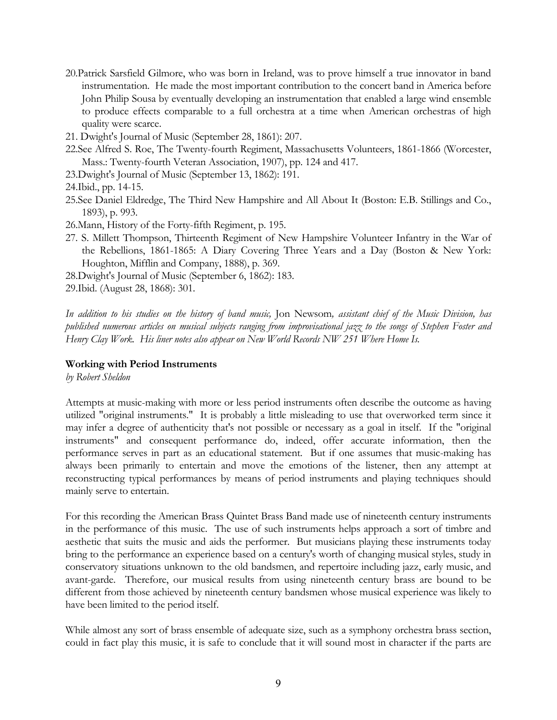- 20.Patrick Sarsfield Gilmore, who was born in Ireland, was to prove himself a true innovator in band instrumentation. He made the most important contribution to the concert band in America before John Philip Sousa by eventually developing an instrumentation that enabled a large wind ensemble to produce effects comparable to a full orchestra at a time when American orchestras of high quality were scarce.
- 21. Dwight's Journal of Music (September 28, 1861): 207.
- 22.See Alfred S. Roe, The Twenty-fourth Regiment, Massachusetts Volunteers, 1861-1866 (Worcester, Mass.: Twenty-fourth Veteran Association, 1907), pp. 124 and 417.
- 23.Dwight's Journal of Music (September 13, 1862): 191.
- 24.Ibid., pp. 14-15.
- 25.See Daniel Eldredge, The Third New Hampshire and All About It (Boston: E.B. Stillings and Co., 1893), p. 993.
- 26.Mann, History of the Forty-fifth Regiment, p. 195.
- 27. S. Millett Thompson, Thirteenth Regiment of New Hampshire Volunteer Infantry in the War of the Rebellions, 1861-1865: A Diary Covering Three Years and a Day (Boston & New York: Houghton, Mifflin and Company, 1888), p. 369.
- 28.Dwight's Journal of Music (September 6, 1862): 183.
- 29.Ibid. (August 28, 1868): 301.

*In addition to his studies on the history of band music,* Jon Newsom*, assistant chief of the Music Division, has published numerous articles on musical subjects ranging from improvisational jazz to the songs of Stephen Foster and Henry Clay Work. His liner notes also appear on New World Records NW 251 Where Home Is.* 

#### **Working with Period Instruments**

*by Robert Sheldon* 

Attempts at music-making with more or less period instruments often describe the outcome as having utilized "original instruments." It is probably a little misleading to use that overworked term since it may infer a degree of authenticity that's not possible or necessary as a goal in itself. If the "original instruments" and consequent performance do, indeed, offer accurate information, then the performance serves in part as an educational statement. But if one assumes that music-making has always been primarily to entertain and move the emotions of the listener, then any attempt at reconstructing typical performances by means of period instruments and playing techniques should mainly serve to entertain.

For this recording the American Brass Quintet Brass Band made use of nineteenth century instruments in the performance of this music. The use of such instruments helps approach a sort of timbre and aesthetic that suits the music and aids the performer. But musicians playing these instruments today bring to the performance an experience based on a century's worth of changing musical styles, study in conservatory situations unknown to the old bandsmen, and repertoire including jazz, early music, and avant-garde. Therefore, our musical results from using nineteenth century brass are bound to be different from those achieved by nineteenth century bandsmen whose musical experience was likely to have been limited to the period itself.

While almost any sort of brass ensemble of adequate size, such as a symphony orchestra brass section, could in fact play this music, it is safe to conclude that it will sound most in character if the parts are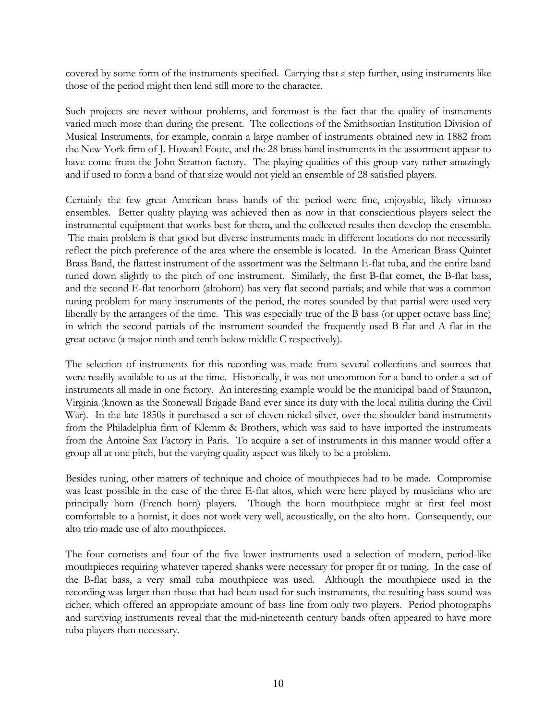covered by some form of the instruments specified. Carrying that a step further, using instruments like those of the period might then lend still more to the character.

Such projects are never without problems, and foremost is the fact that the quality of instruments varied much more than during the present. The collections of the Smithsonian Institution Division of Musical Instruments, for example, contain a large number of instruments obtained new in 1882 from the New York firm of J. Howard Foote, and the 28 brass band instruments in the assortment appear to have come from the John Stratton factory. The playing qualities of this group vary rather amazingly and if used to form a band of that size would not yield an ensemble of 28 satisfied players.

Certainly the few great American brass bands of the period were fine, enjoyable, likely virtuoso ensembles. Better quality playing was achieved then as now in that conscientious players select the instrumental equipment that works best for them, and the collected results then develop the ensemble. The main problem is that good but diverse instruments made in different locations do not necessarily reflect the pitch preference of the area where the ensemble is located. In the American Brass Quintet Brass Band, the flattest instrument of the assortment was the Seltmann E-flat tuba, and the entire band tuned down slightly to the pitch of one instrument. Similarly, the first B-flat cornet, the B-flat bass, and the second E-flat tenorhorn (altohorn) has very flat second partials; and while that was a common tuning problem for many instruments of the period, the notes sounded by that partial were used very liberally by the arrangers of the time. This was especially true of the B bass (or upper octave bass line) in which the second partials of the instrument sounded the frequently used B flat and A flat in the great octave (a major ninth and tenth below middle C respectively).

The selection of instruments for this recording was made from several collections and sources that were readily available to us at the time. Historically, it was not uncommon for a band to order a set of instruments all made in one factory. An interesting example would be the municipal band of Staunton, Virginia (known as the Stonewall Brigade Band ever since its duty with the local militia during the Civil War). In the late 1850s it purchased a set of eleven nickel silver, over-the-shoulder band instruments from the Philadelphia firm of Klemm & Brothers, which was said to have imported the instruments from the Antoine Sax Factory in Paris. To acquire a set of instruments in this manner would offer a group all at one pitch, but the varying quality aspect was likely to be a problem.

Besides tuning, other matters of technique and choice of mouthpieces had to be made. Compromise was least possible in the case of the three E-flat altos, which were here played by musicians who are principally horn (French horn) players. Though the horn mouthpiece might at first feel most comfortable to a hornist, it does not work very well, acoustically, on the alto horn. Consequently, our alto trio made use of alto mouthpieces.

The four cornetists and four of the five lower instruments used a selection of modern, period-like mouthpieces requiring whatever tapered shanks were necessary for proper fit or tuning. In the case of the B-flat bass, a very small tuba mouthpiece was used. Although the mouthpiece used in the recording was larger than those that had been used for such instruments, the resulting bass sound was richer, which offered an appropriate amount of bass line from only two players. Period photographs and surviving instruments reveal that the mid-nineteenth century bands often appeared to have more tuba players than necessary.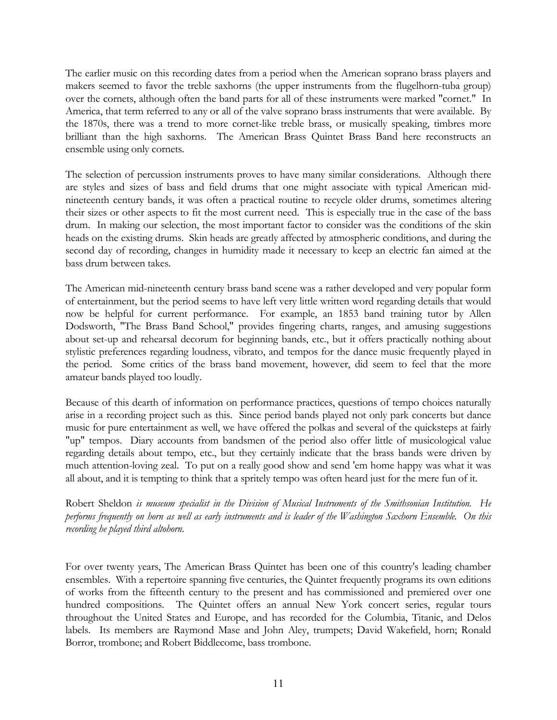The earlier music on this recording dates from a period when the American soprano brass players and makers seemed to favor the treble saxhorns (the upper instruments from the flugelhorn-tuba group) over the cornets, although often the band parts for all of these instruments were marked "cornet." In America, that term referred to any or all of the valve soprano brass instruments that were available. By the 1870s, there was a trend to more cornet-like treble brass, or musically speaking, timbres more brilliant than the high saxhorns. The American Brass Quintet Brass Band here reconstructs an ensemble using only cornets.

The selection of percussion instruments proves to have many similar considerations. Although there are styles and sizes of bass and field drums that one might associate with typical American midnineteenth century bands, it was often a practical routine to recycle older drums, sometimes altering their sizes or other aspects to fit the most current need. This is especially true in the case of the bass drum. In making our selection, the most important factor to consider was the conditions of the skin heads on the existing drums. Skin heads are greatly affected by atmospheric conditions, and during the second day of recording, changes in humidity made it necessary to keep an electric fan aimed at the bass drum between takes.

The American mid-nineteenth century brass band scene was a rather developed and very popular form of entertainment, but the period seems to have left very little written word regarding details that would now be helpful for current performance. For example, an 1853 band training tutor by Allen Dodsworth, "The Brass Band School," provides fingering charts, ranges, and amusing suggestions about set-up and rehearsal decorum for beginning bands, etc., but it offers practically nothing about stylistic preferences regarding loudness, vibrato, and tempos for the dance music frequently played in the period. Some critics of the brass band movement, however, did seem to feel that the more amateur bands played too loudly.

Because of this dearth of information on performance practices, questions of tempo choices naturally arise in a recording project such as this. Since period bands played not only park concerts but dance music for pure entertainment as well, we have offered the polkas and several of the quicksteps at fairly "up" tempos. Diary accounts from bandsmen of the period also offer little of musicological value regarding details about tempo, etc., but they certainly indicate that the brass bands were driven by much attention-loving zeal. To put on a really good show and send 'em home happy was what it was all about, and it is tempting to think that a spritely tempo was often heard just for the mere fun of it.

Robert Sheldon *is museum specialist in the Division of Musical Instruments of the Smithsonian Institution. He performs frequently on horn as well as early instruments and is leader of the Washington Saxhorn Ensemble. On this recording he played third altohorn.* 

For over twenty years, The American Brass Quintet has been one of this country's leading chamber ensembles. With a repertoire spanning five centuries, the Quintet frequently programs its own editions of works from the fifteenth century to the present and has commissioned and premiered over one hundred compositions. The Quintet offers an annual New York concert series, regular tours throughout the United States and Europe, and has recorded for the Columbia, Titanic, and Delos labels. Its members are Raymond Mase and John Aley, trumpets; David Wakefield, horn; Ronald Borror, trombone; and Robert Biddlecome, bass trombone.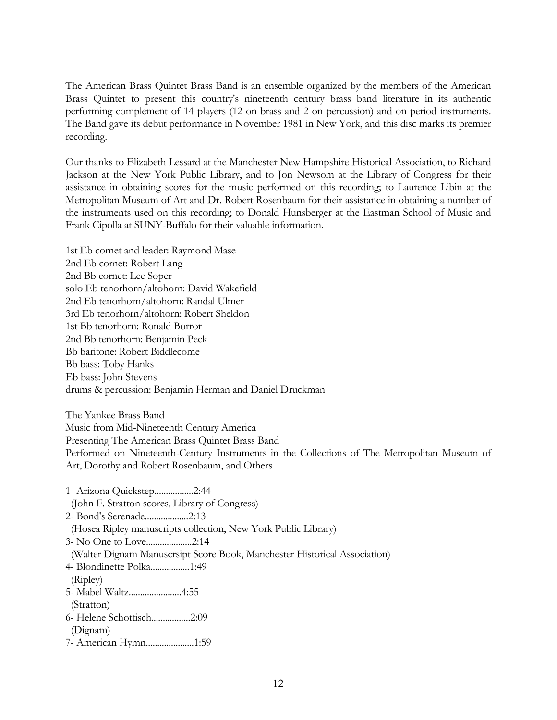The American Brass Quintet Brass Band is an ensemble organized by the members of the American Brass Quintet to present this country's nineteenth century brass band literature in its authentic performing complement of 14 players (12 on brass and 2 on percussion) and on period instruments. The Band gave its debut performance in November 1981 in New York, and this disc marks its premier recording.

Our thanks to Elizabeth Lessard at the Manchester New Hampshire Historical Association, to Richard Jackson at the New York Public Library, and to Jon Newsom at the Library of Congress for their assistance in obtaining scores for the music performed on this recording; to Laurence Libin at the Metropolitan Museum of Art and Dr. Robert Rosenbaum for their assistance in obtaining a number of the instruments used on this recording; to Donald Hunsberger at the Eastman School of Music and Frank Cipolla at SUNY-Buffalo for their valuable information.

1st Eb cornet and leader: Raymond Mase 2nd Eb cornet: Robert Lang 2nd Bb cornet: Lee Soper solo Eb tenorhorn/altohorn: David Wakefield 2nd Eb tenorhorn/altohorn: Randal Ulmer 3rd Eb tenorhorn/altohorn: Robert Sheldon 1st Bb tenorhorn: Ronald Borror 2nd Bb tenorhorn: Benjamin Peck Bb baritone: Robert Biddlecome Bb bass: Toby Hanks Eb bass: John Stevens drums & percussion: Benjamin Herman and Daniel Druckman The Yankee Brass Band Music from Mid-Nineteenth Century America Presenting The American Brass Quintet Brass Band Performed on Nineteenth-Century Instruments in the Collections of The Metropolitan Museum of Art, Dorothy and Robert Rosenbaum, and Others 1- Arizona Quickstep.................2:44 (John F. Stratton scores, Library of Congress) 2- Bond's Serenade...................2:13 (Hosea Ripley manuscripts collection, New York Public Library) 3- No One to Love....................2:14 (Walter Dignam Manuscrsipt Score Book, Manchester Historical Association) 4- Blondinette Polka.................1:49 (Ripley) 5- Mabel Waltz.......................4:55 (Stratton) 6- Helene Schottisch.................2:09 (Dignam) 7- American Hymn.....................1:59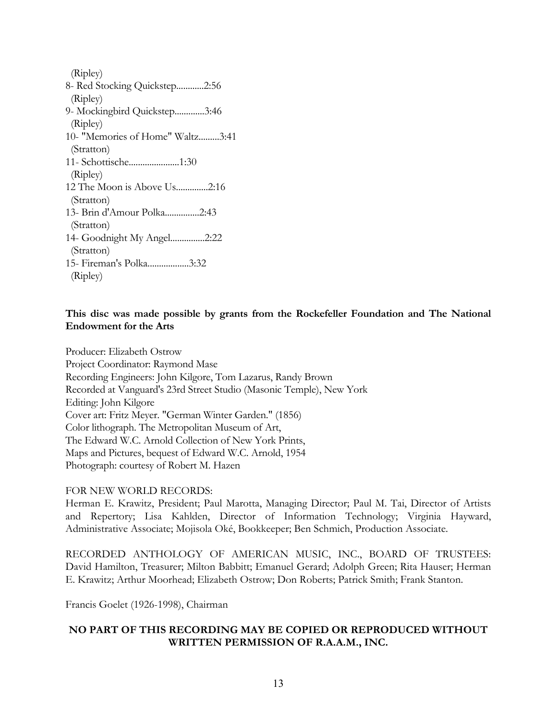(Ripley) 8- Red Stocking Quickstep............2:56 (Ripley) 9- Mockingbird Quickstep.............3:46 (Ripley) 10- "Memories of Home" Waltz.........3:41 (Stratton) 11- Schottische......................1:30 (Ripley) 12 The Moon is Above Us..............2:16 (Stratton) 13- Brin d'Amour Polka...............2:43 (Stratton) 14- Goodnight My Angel...............2:22 (Stratton) 15- Fireman's Polka..................3:32 (Ripley)

# **This disc was made possible by grants from the Rockefeller Foundation and The National Endowment for the Arts**

Producer: Elizabeth Ostrow Project Coordinator: Raymond Mase Recording Engineers: John Kilgore, Tom Lazarus, Randy Brown Recorded at Vanguard's 23rd Street Studio (Masonic Temple), New York Editing: John Kilgore Cover art: Fritz Meyer. "German Winter Garden." (1856) Color lithograph. The Metropolitan Museum of Art, The Edward W.C. Arnold Collection of New York Prints, Maps and Pictures, bequest of Edward W.C. Arnold, 1954 Photograph: courtesy of Robert M. Hazen

### FOR NEW WORLD RECORDS:

Herman E. Krawitz, President; Paul Marotta, Managing Director; Paul M. Tai, Director of Artists and Repertory; Lisa Kahlden, Director of Information Technology; Virginia Hayward, Administrative Associate; Mojisola Oké, Bookkeeper; Ben Schmich, Production Associate.

RECORDED ANTHOLOGY OF AMERICAN MUSIC, INC., BOARD OF TRUSTEES: David Hamilton, Treasurer; Milton Babbitt; Emanuel Gerard; Adolph Green; Rita Hauser; Herman E. Krawitz; Arthur Moorhead; Elizabeth Ostrow; Don Roberts; Patrick Smith; Frank Stanton.

Francis Goelet (1926-1998), Chairman

# **NO PART OF THIS RECORDING MAY BE COPIED OR REPRODUCED WITHOUT WRITTEN PERMISSION OF R.A.A.M., INC.**